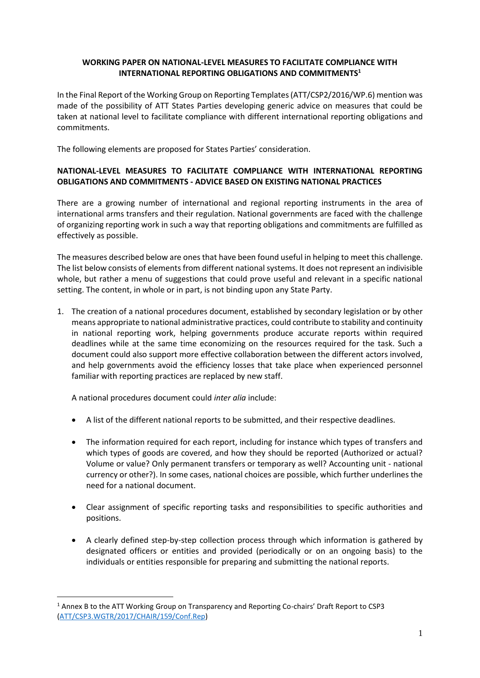## **WORKING PAPER ON NATIONAL-LEVEL MEASURES TO FACILITATE COMPLIANCE WITH INTERNATIONAL REPORTING OBLIGATIONS AND COMMITMENTS<sup>1</sup>**

In the Final Report of the Working Group on Reporting Templates (ATT/CSP2/2016/WP.6) mention was made of the possibility of ATT States Parties developing generic advice on measures that could be taken at national level to facilitate compliance with different international reporting obligations and commitments.

The following elements are proposed for States Parties' consideration.

## **NATIONAL-LEVEL MEASURES TO FACILITATE COMPLIANCE WITH INTERNATIONAL REPORTING OBLIGATIONS AND COMMITMENTS - ADVICE BASED ON EXISTING NATIONAL PRACTICES**

There are a growing number of international and regional reporting instruments in the area of international arms transfers and their regulation. National governments are faced with the challenge of organizing reporting work in such a way that reporting obligations and commitments are fulfilled as effectively as possible.

The measures described below are ones that have been found useful in helping to meet this challenge. The list below consists of elements from different national systems. It does not represent an indivisible whole, but rather a menu of suggestions that could prove useful and relevant in a specific national setting. The content, in whole or in part, is not binding upon any State Party.

1. The creation of a national procedures document, established by secondary legislation or by other means appropriate to national administrative practices, could contribute to stability and continuity in national reporting work, helping governments produce accurate reports within required deadlines while at the same time economizing on the resources required for the task. Such a document could also support more effective collaboration between the different actors involved, and help governments avoid the efficiency losses that take place when experienced personnel familiar with reporting practices are replaced by new staff.

A national procedures document could *inter alia* include:

 $\overline{a}$ 

- A list of the different national reports to be submitted, and their respective deadlines.
- The information required for each report, including for instance which types of transfers and which types of goods are covered, and how they should be reported (Authorized or actual? Volume or value? Only permanent transfers or temporary as well? Accounting unit - national currency or other?). In some cases, national choices are possible, which further underlines the need for a national document.
- Clear assignment of specific reporting tasks and responsibilities to specific authorities and positions.
- A clearly defined step-by-step collection process through which information is gathered by designated officers or entities and provided (periodically or on an ongoing basis) to the individuals or entities responsible for preparing and submitting the national reports.

<sup>&</sup>lt;sup>1</sup> Annex B to the ATT Working Group on Transparency and Reporting Co-chairs' Draft Report to CSP3 [\(ATT/CSP3.WGTR/2017/CHAIR/159/Conf.Rep\)](https://www.thearmstradetreaty.org/hyper-images/file/WGTR_Draft_Report_to_CSP3_EN/WGTR_Draft_Report_to_CSP3_EN.pdf)